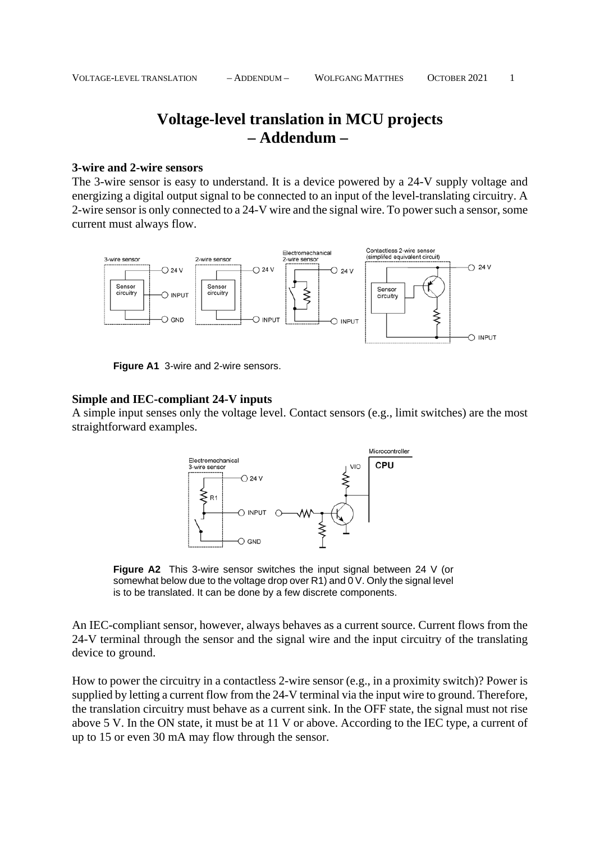# **Voltage-level translation in MCU projects – Addendum –**

#### **3-wire and 2-wire sensors**

The 3-wire sensor is easy to understand. It is a device powered by a 24-V supply voltage and energizing a digital output signal to be connected to an input of the level-translating circuitry. A 2-wire sensor is only connected to a 24-V wire and the signal wire. To power such a sensor, some current must always flow.



**Figure A1** 3-wire and 2-wire sensors.

#### **Simple and IEC-compliant 24-V inputs**

A simple input senses only the voltage level. Contact sensors (e.g., limit switches) are the most straightforward examples.



**Figure A2** This 3-wire sensor switches the input signal between 24 V (or somewhat below due to the voltage drop over R1) and 0 V. Only the signal level is to be translated. It can be done by a few discrete components.

An IEC-compliant sensor, however, always behaves as a current source. Current flows from the 24-V terminal through the sensor and the signal wire and the input circuitry of the translating device to ground.

How to power the circuitry in a contactless 2-wire sensor (e.g., in a proximity switch)? Power is supplied by letting a current flow from the 24-V terminal via the input wire to ground. Therefore, the translation circuitry must behave as a current sink. In the OFF state, the signal must not rise above 5 V. In the ON state, it must be at 11 V or above. According to the IEC type, a current of up to 15 or even 30 mA may flow through the sensor.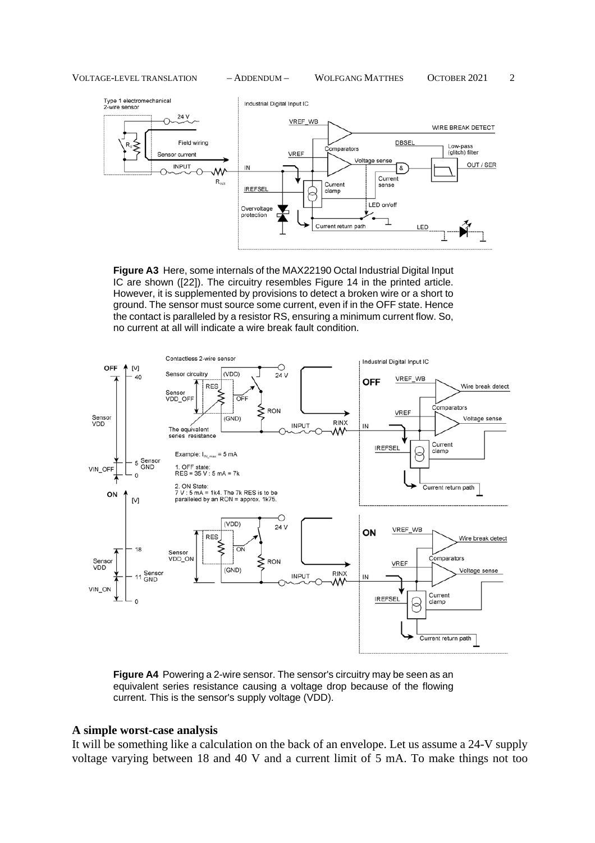#### VOLTAGE-LEVEL TRANSLATION – ADDENDUM – WOLFGANG MATTHES OCTOBER 2021 2



**Figure A3** Here, some internals of the MAX22190 Octal Industrial Digital Input IC are shown ([22]). The circuitry resembles Figure 14 in the printed article. However, it is supplemented by provisions to detect a broken wire or a short to ground. The sensor must source some current, even if in the OFF state. Hence the contact is paralleled by a resistor RS, ensuring a minimum current flow. So, no current at all will indicate a wire break fault condition.



**Figure A4** Powering a 2-wire sensor. The sensor's circuitry may be seen as an equivalent series resistance causing a voltage drop because of the flowing current. This is the sensor's supply voltage (VDD).

#### **A simple worst-case analysis**

It will be something like a calculation on the back of an envelope. Let us assume a 24-V supply voltage varying between 18 and 40 V and a current limit of 5 mA. To make things not too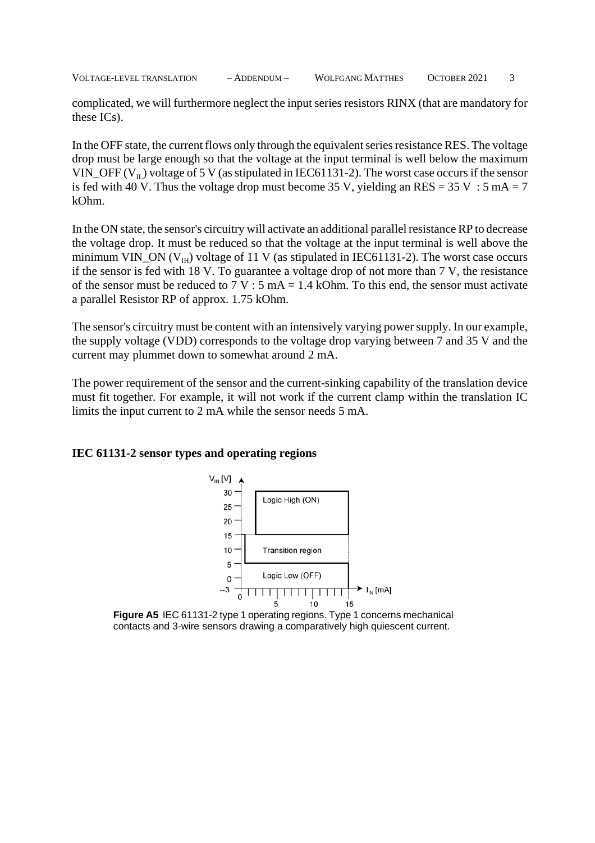VOLTAGE-LEVEL TRANSLATION – ADDENDUM – WOLFGANG MATTHES OCTOBER 2021 3

complicated, we will furthermore neglect the input series resistors RINX (that are mandatory for these ICs).

In the OFF state, the current flows only through the equivalent series resistance RES. The voltage drop must be large enough so that the voltage at the input terminal is well below the maximum VIN OFF ( $V_{\text{II}}$ ) voltage of 5 V (as stipulated in IEC61131-2). The worst case occurs if the sensor is fed with 40 V. Thus the voltage drop must become 35 V, yielding an RES =  $35$  V :  $5$  mA =  $7$ kOhm.

In the ON state, the sensor's circuitry will activate an additional parallel resistance RP to decrease the voltage drop. It must be reduced so that the voltage at the input terminal is well above the minimum VIN\_ON ( $V<sub>IH</sub>$ ) voltage of 11 V (as stipulated in IEC61131-2). The worst case occurs if the sensor is fed with 18 V. To guarantee a voltage drop of not more than 7 V, the resistance of the sensor must be reduced to  $7 V : 5 mA = 1.4 kOhm$ . To this end, the sensor must activate a parallel Resistor RP of approx. 1.75 kOhm.

The sensor's circuitry must be content with an intensively varying power supply. In our example, the supply voltage (VDD) corresponds to the voltage drop varying between 7 and 35 V and the current may plummet down to somewhat around 2 mA.

The power requirement of the sensor and the current-sinking capability of the translation device must fit together. For example, it will not work if the current clamp within the translation IC limits the input current to 2 mA while the sensor needs 5 mA.

## **IEC 61131-2 sensor types and operating regions**



**Figure A5** IEC 61131-2 type 1 operating regions. Type 1 concerns mechanical contacts and 3-wire sensors drawing a comparatively high quiescent current.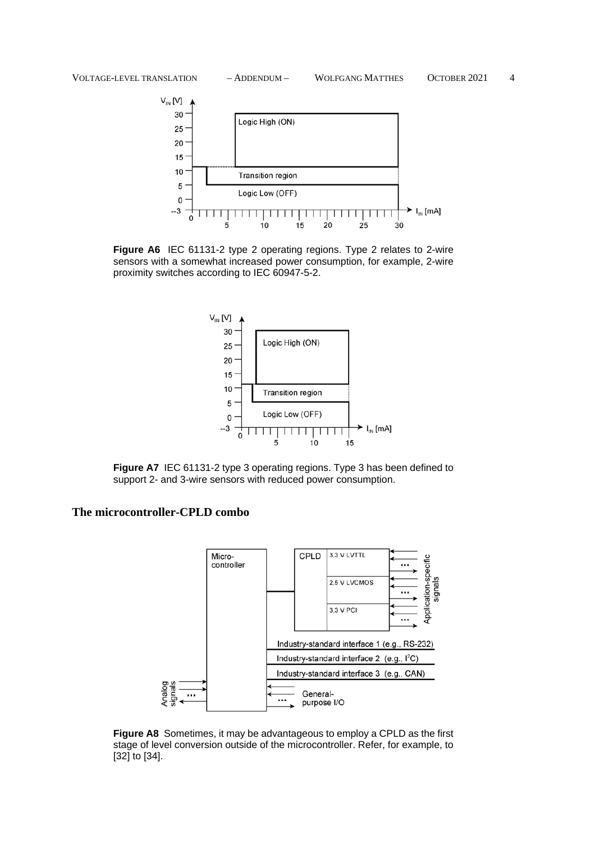

**Figure A6** IEC 61131-2 type 2 operating regions. Type 2 relates to 2-wire sensors with a somewhat increased power consumption, for example, 2-wire proximity switches according to IEC 60947-5-2.



**Figure A7** IEC 61131-2 type 3 operating regions. Type 3 has been defined to support 2- and 3-wire sensors with reduced power consumption.

## **The microcontroller-CPLD combo**



**Figure A8** Sometimes, it may be advantageous to employ a CPLD as the first stage of level conversion outside of the microcontroller. Refer, for example, to [32] to [34].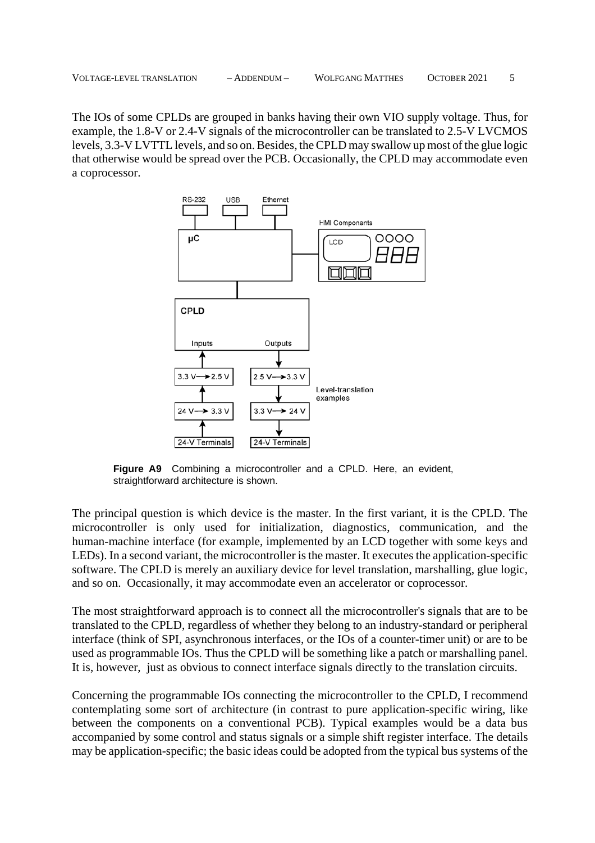The IOs of some CPLDs are grouped in banks having their own VIO supply voltage. Thus, for example, the 1.8-V or 2.4-V signals of the microcontroller can be translated to 2.5-V LVCMOS levels, 3.3-V LVTTL levels, and so on. Besides, the CPLD may swallow up most of the glue logic that otherwise would be spread over the PCB. Occasionally, the CPLD may accommodate even a coprocessor.



**Figure A9** Combining a microcontroller and a CPLD. Here, an evident, straightforward architecture is shown.

The principal question is which device is the master. In the first variant, it is the CPLD. The microcontroller is only used for initialization, diagnostics, communication, and the human-machine interface (for example, implemented by an LCD together with some keys and LEDs). In a second variant, the microcontroller is the master. It executes the application-specific software. The CPLD is merely an auxiliary device for level translation, marshalling, glue logic, and so on. Occasionally, it may accommodate even an accelerator or coprocessor.

The most straightforward approach is to connect all the microcontroller's signals that are to be translated to the CPLD, regardless of whether they belong to an industry-standard or peripheral interface (think of SPI, asynchronous interfaces, or the IOs of a counter-timer unit) or are to be used as programmable IOs. Thus the CPLD will be something like a patch or marshalling panel. It is, however, just as obvious to connect interface signals directly to the translation circuits.

Concerning the programmable IOs connecting the microcontroller to the CPLD, I recommend contemplating some sort of architecture (in contrast to pure application-specific wiring, like between the components on a conventional PCB). Typical examples would be a data bus accompanied by some control and status signals or a simple shift register interface. The details may be application-specific; the basic ideas could be adopted from the typical bus systems of the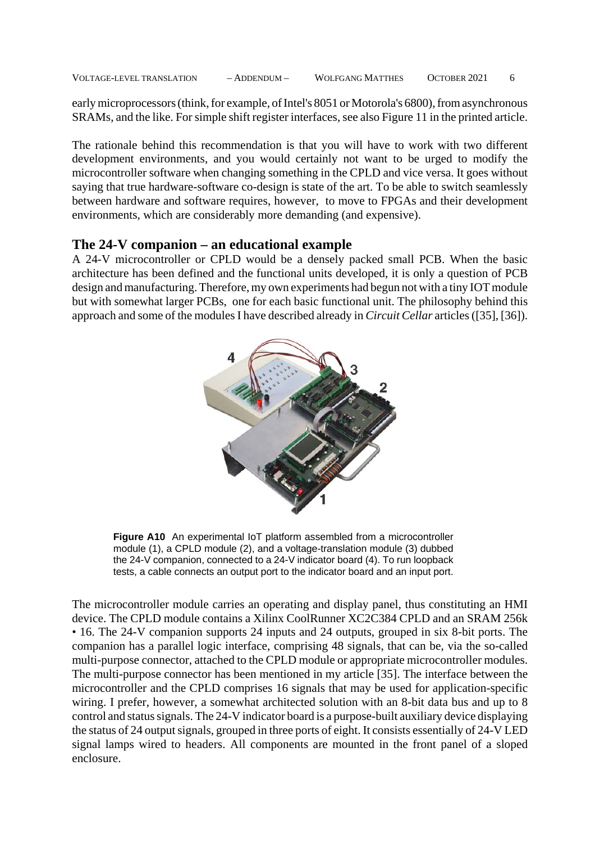early microprocessors (think, for example, of Intel's 8051 or Motorola's 6800), from asynchronous SRAMs, and the like. For simple shift register interfaces, see also Figure 11 in the printed article.

The rationale behind this recommendation is that you will have to work with two different development environments, and you would certainly not want to be urged to modify the microcontroller software when changing something in the CPLD and vice versa. It goes without saying that true hardware-software co-design is state of the art. To be able to switch seamlessly between hardware and software requires, however, to move to FPGAs and their development environments, which are considerably more demanding (and expensive).

## **The 24-V companion – an educational example**

A 24-V microcontroller or CPLD would be a densely packed small PCB. When the basic architecture has been defined and the functional units developed, it is only a question of PCB design and manufacturing. Therefore, my own experiments had begun not with a tiny IOT module but with somewhat larger PCBs, one for each basic functional unit. The philosophy behind this approach and some of the modules I have described already in *Circuit Cellar* articles ([35], [36]).



**Figure A10** An experimental IoT platform assembled from a microcontroller module (1), a CPLD module (2), and a voltage-translation module (3) dubbed the 24-V companion, connected to a 24-V indicator board (4). To run loopback tests, a cable connects an output port to the indicator board and an input port.

The microcontroller module carries an operating and display panel, thus constituting an HMI device. The CPLD module contains a Xilinx CoolRunner XC2C384 CPLD and an SRAM 256k • 16. The 24-V companion supports 24 inputs and 24 outputs, grouped in six 8-bit ports. The companion has a parallel logic interface, comprising 48 signals, that can be, via the so-called multi-purpose connector, attached to the CPLD module or appropriate microcontroller modules. The multi-purpose connector has been mentioned in my article [35]. The interface between the microcontroller and the CPLD comprises 16 signals that may be used for application-specific wiring. I prefer, however, a somewhat architected solution with an 8-bit data bus and up to 8 control and status signals. The 24-V indicator board is a purpose-built auxiliary device displaying the status of 24 output signals, grouped in three ports of eight. It consists essentially of 24-V LED signal lamps wired to headers. All components are mounted in the front panel of a sloped enclosure.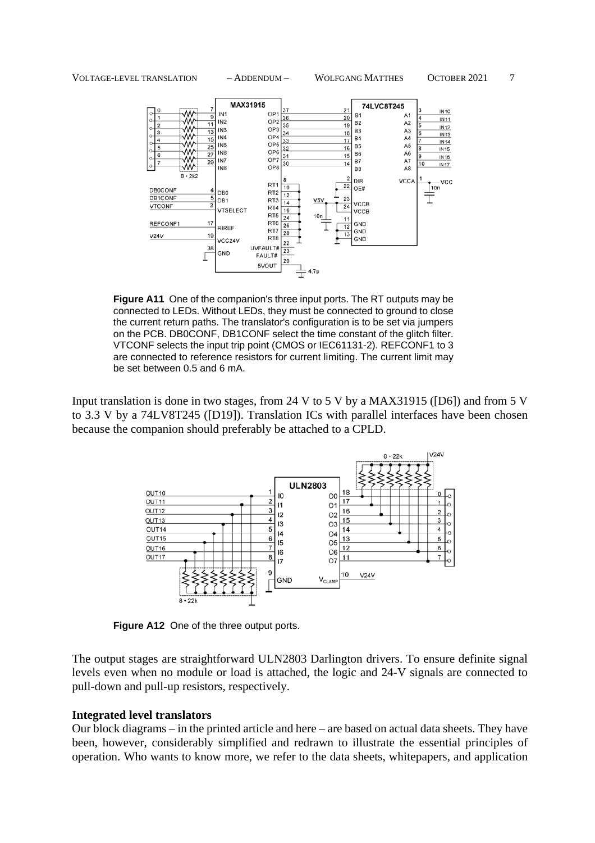#### VOLTAGE-LEVEL TRANSLATION – ADDENDUM – WOLFGANG MATTHES OCTOBER 2021 7



**Figure A11** One of the companion's three input ports. The RT outputs may be connected to LEDs. Without LEDs, they must be connected to ground to close the current return paths. The translator's configuration is to be set via jumpers on the PCB. DB0CONF, DB1CONF select the time constant of the glitch filter. VTCONF selects the input trip point (CMOS or IEC61131-2). REFCONF1 to 3 are connected to reference resistors for current limiting. The current limit may be set between 0.5 and 6 mA.

Input translation is done in two stages, from 24 V to 5 V by a MAX31915 ([D6]) and from 5 V to 3.3 V by a 74LV8T245 ([D19]). Translation ICs with parallel interfaces have been chosen because the companion should preferably be attached to a CPLD.



**Figure A12** One of the three output ports.

The output stages are straightforward ULN2803 Darlington drivers. To ensure definite signal levels even when no module or load is attached, the logic and 24-V signals are connected to pull-down and pull-up resistors, respectively.

#### **Integrated level translators**

Our block diagrams – in the printed article and here – are based on actual data sheets. They have been, however, considerably simplified and redrawn to illustrate the essential principles of operation. Who wants to know more, we refer to the data sheets, whitepapers, and application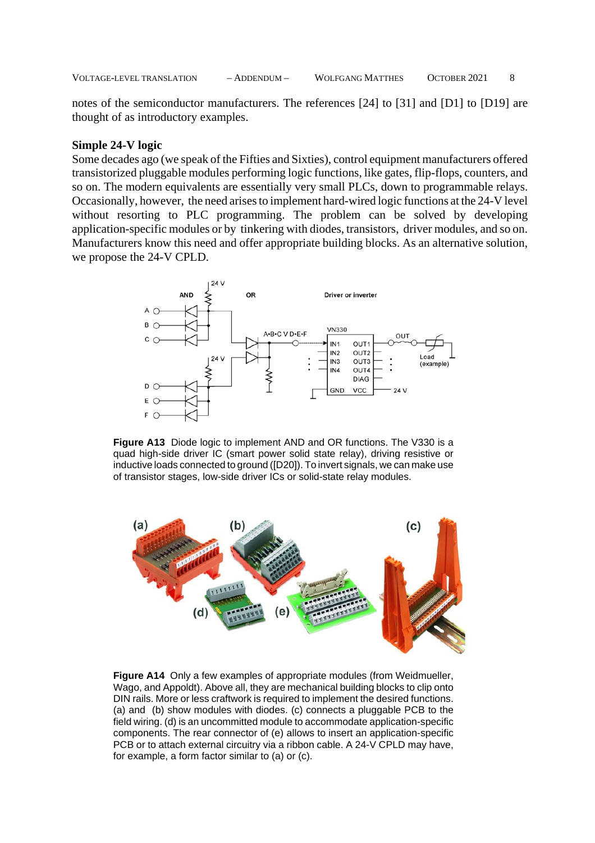notes of the semiconductor manufacturers. The references [24] to [31] and [D1] to [D19] are thought of as introductory examples.

#### **Simple 24-V logic**

Some decades ago (we speak of the Fifties and Sixties), control equipment manufacturers offered transistorized pluggable modules performing logic functions, like gates, flip-flops, counters, and so on. The modern equivalents are essentially very small PLCs, down to programmable relays. Occasionally, however, the need arises to implement hard-wired logic functions at the 24-V level without resorting to PLC programming. The problem can be solved by developing application-specific modules or by tinkering with diodes, transistors, driver modules, and so on. Manufacturers know this need and offer appropriate building blocks. As an alternative solution, we propose the 24-V CPLD.



**Figure A13** Diode logic to implement AND and OR functions. The V330 is a quad high-side driver IC (smart power solid state relay), driving resistive or inductive loads connected to ground ([D20]). To invert signals, we can make use of transistor stages, low-side driver ICs or solid-state relay modules.



**Figure A14** Only a few examples of appropriate modules (from Weidmueller, Wago, and Appoldt). Above all, they are mechanical building blocks to clip onto DIN rails. More or less craftwork is required to implement the desired functions. (a) and (b) show modules with diodes. (c) connects a pluggable PCB to the field wiring. (d) is an uncommitted module to accommodate application-specific components. The rear connector of (e) allows to insert an application-specific PCB or to attach external circuitry via a ribbon cable. A 24-V CPLD may have, for example, a form factor similar to (a) or (c).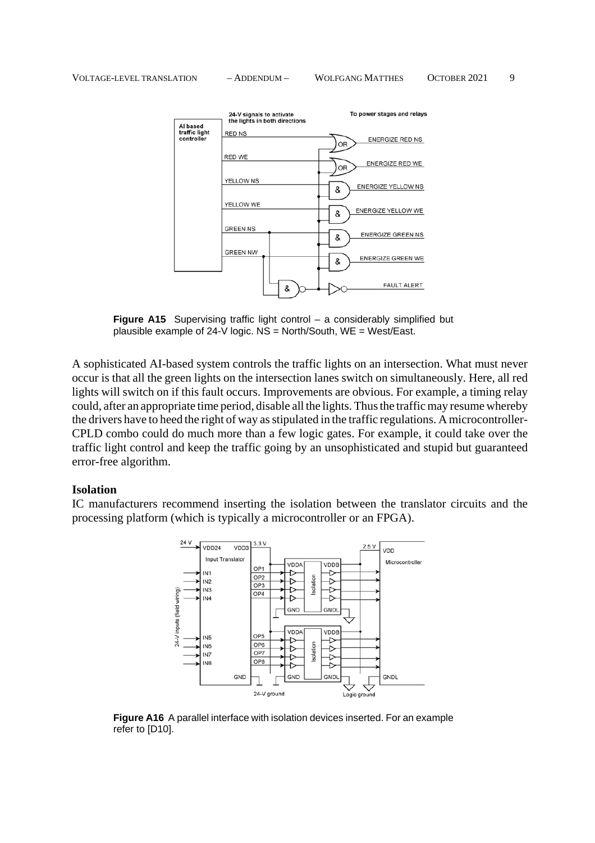

**Figure A15** Supervising traffic light control – a considerably simplified but plausible example of 24-V logic. NS = North/South, WE = West/East.

A sophisticated AI-based system controls the traffic lights on an intersection. What must never occur is that all the green lights on the intersection lanes switch on simultaneously. Here, all red lights will switch on if this fault occurs. Improvements are obvious. For example, a timing relay could, after an appropriate time period, disable all the lights. Thus the traffic may resume whereby the drivers have to heed the right of way as stipulated in the traffic regulations. A microcontroller-CPLD combo could do much more than a few logic gates. For example, it could take over the traffic light control and keep the traffic going by an unsophisticated and stupid but guaranteed error-free algorithm.

#### **Isolation**

IC manufacturers recommend inserting the isolation between the translator circuits and the processing platform (which is typically a microcontroller or an FPGA).



**Figure A16** A parallel interface with isolation devices inserted. For an example refer to [D10].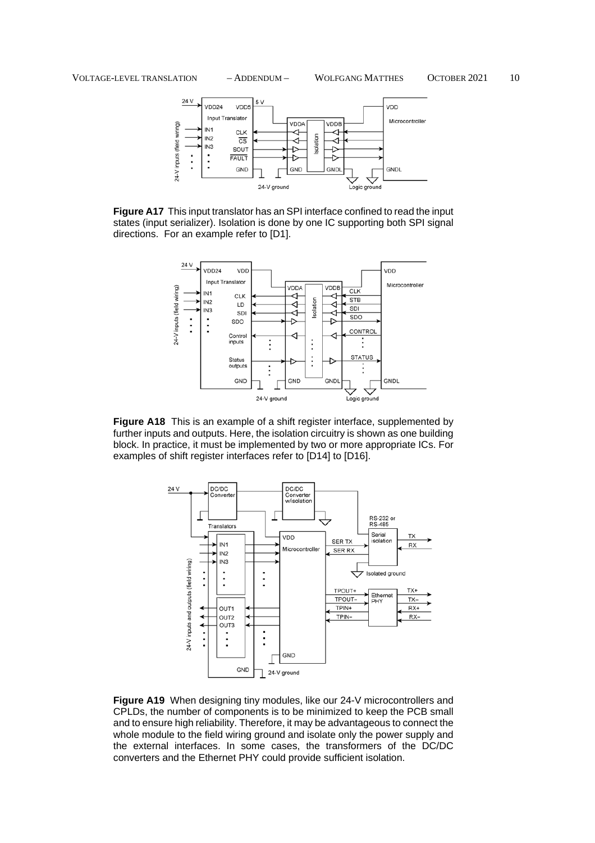

**Figure A17** This input translator has an SPI interface confined to read the input states (input serializer). Isolation is done by one IC supporting both SPI signal directions. For an example refer to [D1].



**Figure A18** This is an example of a shift register interface, supplemented by further inputs and outputs. Here, the isolation circuitry is shown as one building block. In practice, it must be implemented by two or more appropriate ICs. For examples of shift register interfaces refer to [D14] to [D16].



**Figure A19** When designing tiny modules, like our 24-V microcontrollers and CPLDs, the number of components is to be minimized to keep the PCB small and to ensure high reliability. Therefore, it may be advantageous to connect the whole module to the field wiring ground and isolate only the power supply and the external interfaces. In some cases, the transformers of the DC/DC converters and the Ethernet PHY could provide sufficient isolation.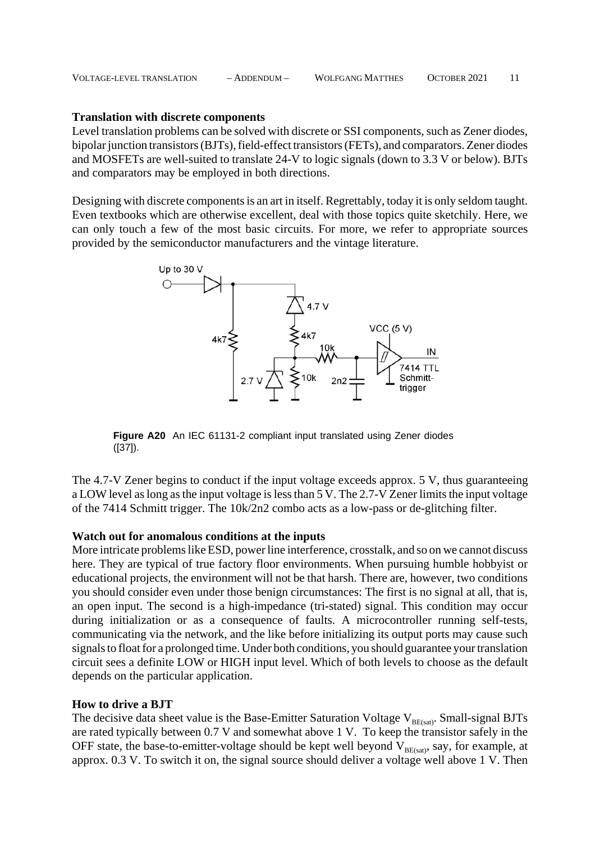| <b>VOLTAGE-LEVEL TRANSLATION</b><br>$-$ ADDENDUM $-$ | <b>WOLFGANG MATTHES</b> | OCTOBER 2021 |  |
|------------------------------------------------------|-------------------------|--------------|--|
|------------------------------------------------------|-------------------------|--------------|--|

## **Translation with discrete components**

Level translation problems can be solved with discrete or SSI components, such as Zener diodes, bipolar junction transistors (BJTs), field-effect transistors (FETs), and comparators. Zener diodes and MOSFETs are well-suited to translate 24-V to logic signals (down to 3.3 V or below). BJTs and comparators may be employed in both directions.

Designing with discrete components is an art in itself. Regrettably, today it is only seldom taught. Even textbooks which are otherwise excellent, deal with those topics quite sketchily. Here, we can only touch a few of the most basic circuits. For more, we refer to appropriate sources provided by the semiconductor manufacturers and the vintage literature.



**Figure A20** An IEC 61131-2 compliant input translated using Zener diodes ([37]).

The 4.7-V Zener begins to conduct if the input voltage exceeds approx. 5 V, thus guaranteeing a LOW level as long as the input voltage is less than 5 V. The 2.7-V Zener limits the input voltage of the 7414 Schmitt trigger. The 10k/2n2 combo acts as a low-pass or de-glitching filter.

## **Watch out for anomalous conditions at the inputs**

More intricate problems like ESD, power line interference, crosstalk, and so on we cannot discuss here. They are typical of true factory floor environments. When pursuing humble hobbyist or educational projects, the environment will not be that harsh. There are, however, two conditions you should consider even under those benign circumstances: The first is no signal at all, that is, an open input. The second is a high-impedance (tri-stated) signal. This condition may occur during initialization or as a consequence of faults. A microcontroller running self-tests, communicating via the network, and the like before initializing its output ports may cause such signals to float for a prolonged time. Under both conditions, you should guarantee your translation circuit sees a definite LOW or HIGH input level. Which of both levels to choose as the default depends on the particular application.

## **How to drive a BJT**

The decisive data sheet value is the Base-Emitter Saturation Voltage  $V_{BE(sat)}$ . Small-signal BJTs are rated typically between 0.7 V and somewhat above 1 V. To keep the transistor safely in the OFF state, the base-to-emitter-voltage should be kept well beyond  $V_{BE(sat)}$ , say, for example, at approx. 0.3 V. To switch it on, the signal source should deliver a voltage well above 1 V. Then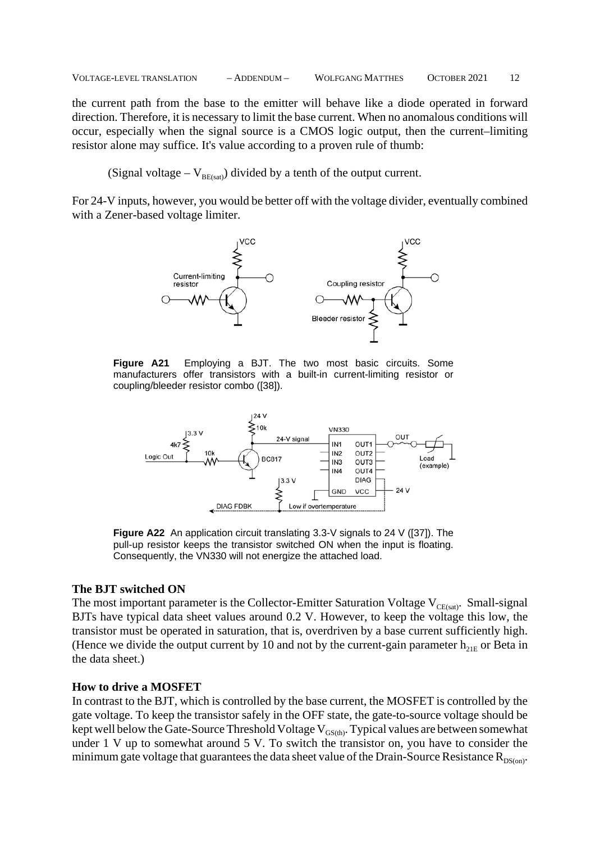the current path from the base to the emitter will behave like a diode operated in forward direction. Therefore, it is necessary to limit the base current. When no anomalous conditions will occur, especially when the signal source is a CMOS logic output, then the current–limiting resistor alone may suffice. It's value according to a proven rule of thumb:

(Signal voltage –  $V_{BE(sat)}$ ) divided by a tenth of the output current.

For 24-V inputs, however, you would be better off with the voltage divider, eventually combined with a Zener-based voltage limiter.



**Figure A21** Employing a BJT. The two most basic circuits. Some manufacturers offer transistors with a built-in current-limiting resistor or coupling/bleeder resistor combo ([38]).



**Figure A22** An application circuit translating 3.3-V signals to 24 V ([37]). The pull-up resistor keeps the transistor switched ON when the input is floating. Consequently, the VN330 will not energize the attached load.

## **The BJT switched ON**

The most important parameter is the Collector-Emitter Saturation Voltage  $V_{CE(sat)}$ . Small-signal BJTs have typical data sheet values around 0.2 V. However, to keep the voltage this low, the transistor must be operated in saturation, that is, overdriven by a base current sufficiently high. (Hence we divide the output current by 10 and not by the current-gain parameter  $h_{21E}$  or Beta in the data sheet.)

## **How to drive a MOSFET**

In contrast to the BJT, which is controlled by the base current, the MOSFET is controlled by the gate voltage. To keep the transistor safely in the OFF state, the gate-to-source voltage should be kept well below the Gate-Source Threshold Voltage  $V_{\text{GS(th)}}$ . Typical values are between somewhat under 1 V up to somewhat around 5 V. To switch the transistor on, you have to consider the minimum gate voltage that guarantees the data sheet value of the Drain-Source Resistance  $R_{DS(on)}$ .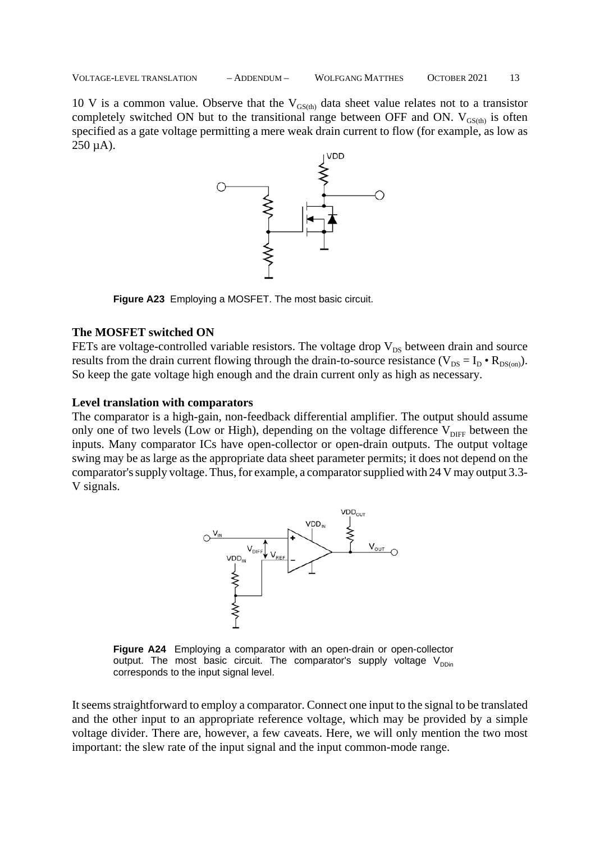10 V is a common value. Observe that the  $V_{GS(th)}$  data sheet value relates not to a transistor completely switched ON but to the transitional range between OFF and ON.  $V_{GS(th)}$  is often specified as a gate voltage permitting a mere weak drain current to flow (for example, as low as 250 µA).



**Figure A23** Employing a MOSFET. The most basic circuit.

#### **The MOSFET switched ON**

FETs are voltage-controlled variable resistors. The voltage drop  $V_{DS}$  between drain and source results from the drain current flowing through the drain-to-source resistance ( $V_{DS} = I_D \cdot R_{DS(0n)}$ ). So keep the gate voltage high enough and the drain current only as high as necessary.

#### **Level translation with comparators**

The comparator is a high-gain, non-feedback differential amplifier. The output should assume only one of two levels (Low or High), depending on the voltage difference  $V_{\text{DIFF}}$  between the inputs. Many comparator ICs have open-collector or open-drain outputs. The output voltage swing may be as large as the appropriate data sheet parameter permits; it does not depend on the comparator's supply voltage. Thus, for example, a comparator supplied with 24 V may output 3.3- V signals.



**Figure A24** Employing a comparator with an open-drain or open-collector output. The most basic circuit. The comparator's supply voltage  $V_{DDin}$ corresponds to the input signal level.

It seems straightforward to employ a comparator. Connect one input to the signal to be translated and the other input to an appropriate reference voltage, which may be provided by a simple voltage divider. There are, however, a few caveats. Here, we will only mention the two most important: the slew rate of the input signal and the input common-mode range.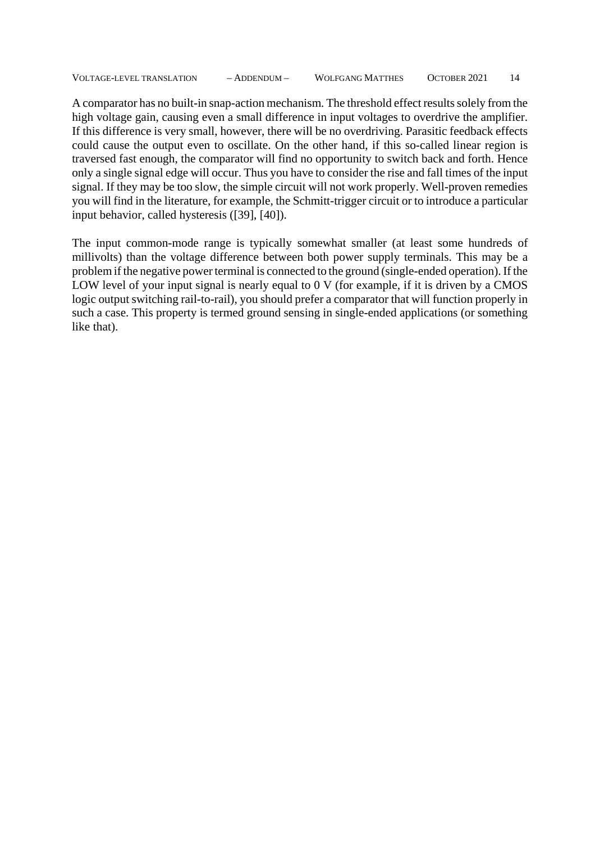A comparator has no built-in snap-action mechanism. The threshold effect results solely from the high voltage gain, causing even a small difference in input voltages to overdrive the amplifier. If this difference is very small, however, there will be no overdriving. Parasitic feedback effects could cause the output even to oscillate. On the other hand, if this so-called linear region is traversed fast enough, the comparator will find no opportunity to switch back and forth. Hence only a single signal edge will occur. Thus you have to consider the rise and fall times of the input signal. If they may be too slow, the simple circuit will not work properly. Well-proven remedies you will find in the literature, for example, the Schmitt-trigger circuit or to introduce a particular input behavior, called hysteresis ([39], [40]).

The input common-mode range is typically somewhat smaller (at least some hundreds of millivolts) than the voltage difference between both power supply terminals. This may be a problem if the negative power terminal is connected to the ground (single-ended operation). If the LOW level of your input signal is nearly equal to 0 V (for example, if it is driven by a CMOS logic output switching rail-to-rail), you should prefer a comparator that will function properly in such a case. This property is termed ground sensing in single-ended applications (or something like that).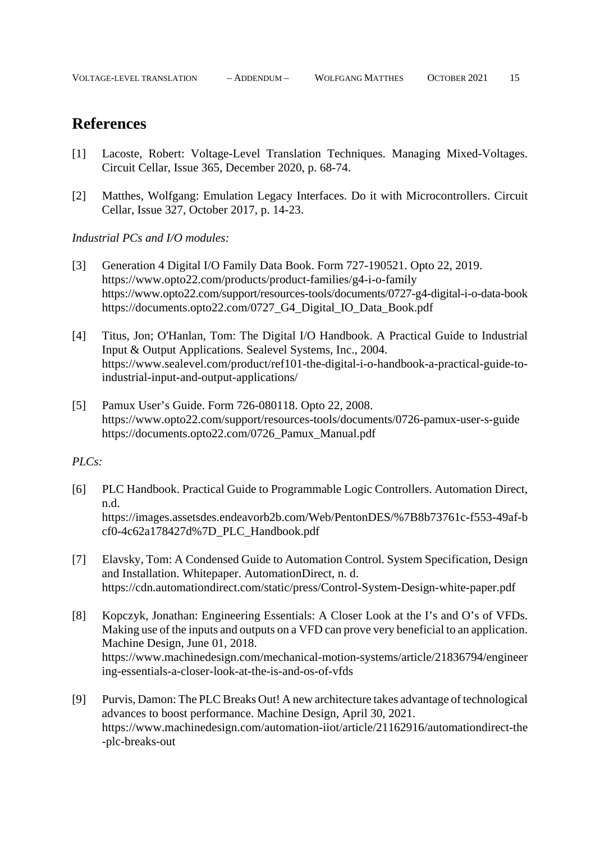# **References**

- [1] Lacoste, Robert: Voltage-Level Translation Techniques. Managing Mixed-Voltages. Circuit Cellar, Issue 365, December 2020, p. 68-74.
- [2] Matthes, Wolfgang: Emulation Legacy Interfaces. Do it with Microcontrollers. Circuit Cellar, Issue 327, October 2017, p. 14-23.

*Industrial PCs and I/O modules:*

- [3] Generation 4 Digital I/O Family Data Book. Form 727-190521. Opto 22, 2019. https://www.opto22.com/products/product-families/g4-i-o-family https://www.opto22.com/support/resources-tools/documents/0727-g4-digital-i-o-data-book https://documents.opto22.com/0727\_G4\_Digital\_IO\_Data\_Book.pdf
- [4] Titus, Jon; O'Hanlan, Tom: The Digital I/O Handbook. A Practical Guide to Industrial Input & Output Applications. Sealevel Systems, Inc., 2004. https://www.sealevel.com/product/ref101-the-digital-i-o-handbook-a-practical-guide-toindustrial-input-and-output-applications/
- [5] Pamux User's Guide. Form 726-080118. Opto 22, 2008. https://www.opto22.com/support/resources-tools/documents/0726-pamux-user-s-guide https://documents.opto22.com/0726\_Pamux\_Manual.pdf

## *PLCs:*

- [6] PLC Handbook. Practical Guide to Programmable Logic Controllers. Automation Direct, n.d. https://images.assetsdes.endeavorb2b.com/Web/PentonDES/%7B8b73761c-f553-49af-b cf0-4c62a178427d%7D\_PLC\_Handbook.pdf
- [7] Elavsky, Tom: A Condensed Guide to Automation Control. System Specification, Design and Installation. Whitepaper. AutomationDirect, n. d. https://cdn.automationdirect.com/static/press/Control-System-Design-white-paper.pdf
- [8] Kopczyk, Jonathan: Engineering Essentials: A Closer Look at the I's and O's of VFDs. Making use of the inputs and outputs on a VFD can prove very beneficial to an application. Machine Design, June 01, 2018. https://www.machinedesign.com/mechanical-motion-systems/article/21836794/engineer ing-essentials-a-closer-look-at-the-is-and-os-of-vfds
- [9] Purvis, Damon: The PLC Breaks Out! A new architecture takes advantage of technological advances to boost performance. Machine Design, April 30, 2021. https://www.machinedesign.com/automation-iiot/article/21162916/automationdirect-the -plc-breaks-out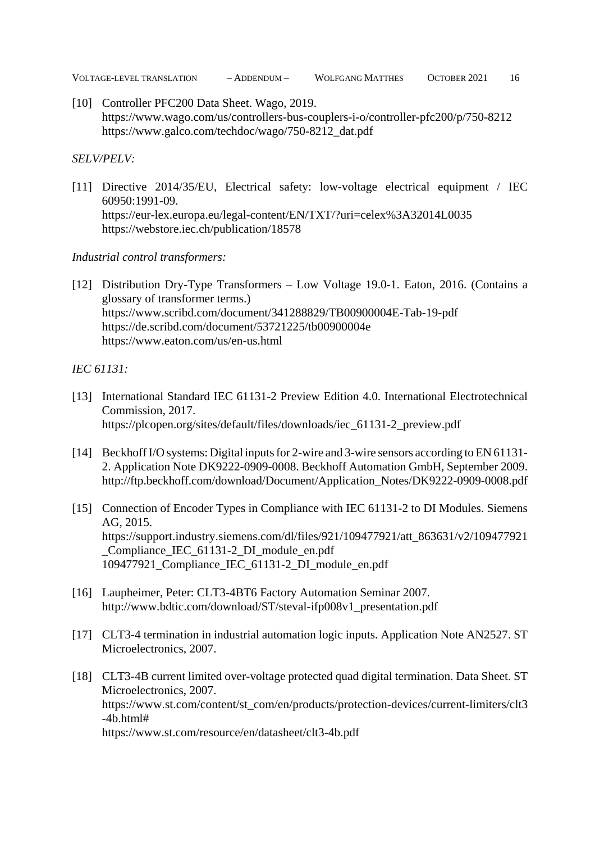[10] Controller PFC200 Data Sheet. Wago, 2019. https://www.wago.com/us/controllers-bus-couplers-i-o/controller-pfc200/p/750-8212 https://www.galco.com/techdoc/wago/750-8212\_dat.pdf

## *SELV/PELV:*

[11] Directive 2014/35/EU, Electrical safety: low-voltage electrical equipment / IEC 60950:1991-09. https://eur-lex.europa.eu/legal-content/EN/TXT/?uri=celex%3A32014L0035 https://webstore.iec.ch/publication/18578

## *Industrial control transformers:*

[12] Distribution Dry-Type Transformers – Low Voltage 19.0-1. Eaton, 2016. (Contains a glossary of transformer terms.) https://www.scribd.com/document/341288829/TB00900004E-Tab-19-pdf https://de.scribd.com/document/53721225/tb00900004e https://www.eaton.com/us/en-us.html

## *IEC 61131:*

- [13] International Standard IEC 61131-2 Preview Edition 4.0. International Electrotechnical Commission, 2017. https://plcopen.org/sites/default/files/downloads/iec\_61131-2\_preview.pdf
- [14] Beckhoff I/O systems: Digital inputs for 2-wire and 3-wire sensors according to EN 61131- 2. Application Note DK9222-0909-0008. Beckhoff Automation GmbH, September 2009. http://ftp.beckhoff.com/download/Document/Application\_Notes/DK9222-0909-0008.pdf
- [15] Connection of Encoder Types in Compliance with IEC 61131-2 to DI Modules. Siemens AG, 2015. https://support.industry.siemens.com/dl/files/921/109477921/att\_863631/v2/109477921 \_Compliance\_IEC\_61131-2\_DI\_module\_en.pdf 109477921\_Compliance\_IEC\_61131-2\_DI\_module\_en.pdf
- [16] Laupheimer, Peter: CLT3-4BT6 Factory Automation Seminar 2007. http://www.bdtic.com/download/ST/steval-ifp008v1\_presentation.pdf
- [17] CLT3-4 termination in industrial automation logic inputs. Application Note AN2527. ST Microelectronics, 2007.
- [18] CLT3-4B current limited over-voltage protected quad digital termination. Data Sheet. ST Microelectronics, 2007. https://www.st.com/content/st\_com/en/products/protection-devices/current-limiters/clt3 -4b.html# https://www.st.com/resource/en/datasheet/clt3-4b.pdf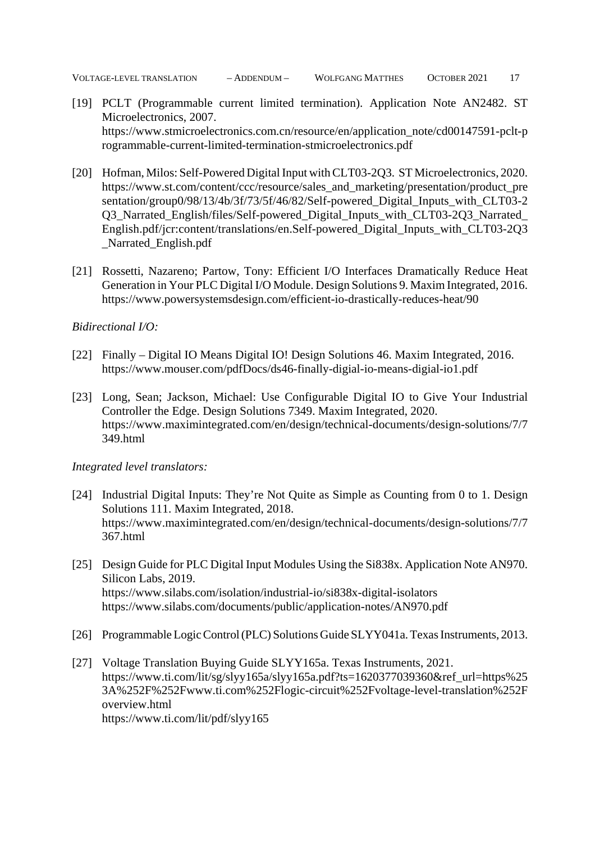- [19] PCLT (Programmable current limited termination). Application Note AN2482. ST Microelectronics, 2007. https://www.stmicroelectronics.com.cn/resource/en/application\_note/cd00147591-pclt-p rogrammable-current-limited-termination-stmicroelectronics.pdf
- [20] Hofman, Milos: Self-Powered Digital Input with CLT03-2Q3. ST Microelectronics, 2020. https://www.st.com/content/ccc/resource/sales\_and\_marketing/presentation/product\_pre sentation/group0/98/13/4b/3f/73/5f/46/82/Self-powered\_Digital\_Inputs\_with\_CLT03-2 Q3 Narrated English/files/Self-powered Digital Inputs with CLT03-2Q3 Narrated English.pdf/jcr:content/translations/en.Self-powered\_Digital\_Inputs\_with\_CLT03-2Q3 \_Narrated\_English.pdf
- [21] Rossetti, Nazareno; Partow, Tony: Efficient I/O Interfaces Dramatically Reduce Heat Generation in Your PLC Digital I/O Module. Design Solutions 9. Maxim Integrated, 2016. https://www.powersystemsdesign.com/efficient-io-drastically-reduces-heat/90

## *Bidirectional I/O:*

- [22] Finally Digital IO Means Digital IO! Design Solutions 46. Maxim Integrated, 2016. https://www.mouser.com/pdfDocs/ds46-finally-digial-io-means-digial-io1.pdf
- [23] Long, Sean; Jackson, Michael: Use Configurable Digital IO to Give Your Industrial Controller the Edge. Design Solutions 7349. Maxim Integrated, 2020. https://www.maximintegrated.com/en/design/technical-documents/design-solutions/7/7 349.html

## *Integrated level translators:*

- [24] Industrial Digital Inputs: They're Not Quite as Simple as Counting from 0 to 1. Design Solutions 111. Maxim Integrated, 2018. https://www.maximintegrated.com/en/design/technical-documents/design-solutions/7/7 367.html
- [25] Design Guide for PLC Digital Input Modules Using the Si838x. Application Note AN970. Silicon Labs, 2019. https://www.silabs.com/isolation/industrial-io/si838x-digital-isolators https://www.silabs.com/documents/public/application-notes/AN970.pdf
- [26] Programmable Logic Control (PLC) Solutions Guide SLYY041a. Texas Instruments, 2013.
- [27] Voltage Translation Buying Guide SLYY165a. Texas Instruments, 2021. https://www.ti.com/lit/sg/slyy165a/slyy165a.pdf?ts=1620377039360&ref\_url=https%25 3A%252F%252Fwww.ti.com%252Flogic-circuit%252Fvoltage-level-translation%252F overview.html https://www.ti.com/lit/pdf/slyy165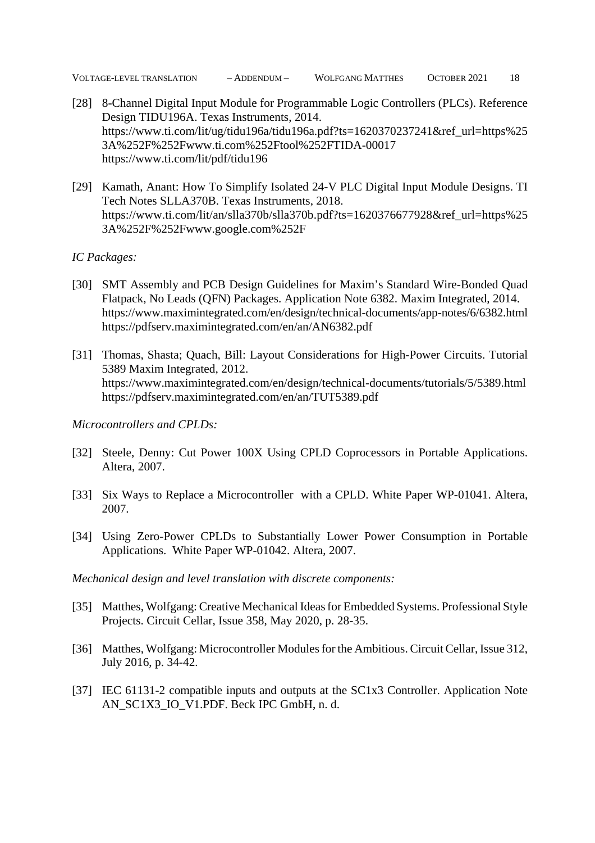- [28] 8-Channel Digital Input Module for Programmable Logic Controllers (PLCs). Reference Design TIDU196A. Texas Instruments, 2014. https://www.ti.com/lit/ug/tidu196a/tidu196a.pdf?ts=1620370237241&ref\_url=https%25 3A%252F%252Fwww.ti.com%252Ftool%252FTIDA-00017 https://www.ti.com/lit/pdf/tidu196
- [29] Kamath, Anant: How To Simplify Isolated 24-V PLC Digital Input Module Designs. TI Tech Notes SLLA370B. Texas Instruments, 2018. https://www.ti.com/lit/an/slla370b/slla370b.pdf?ts=1620376677928&ref\_url=https%25 3A%252F%252Fwww.google.com%252F

## *IC Packages:*

- [30] SMT Assembly and PCB Design Guidelines for Maxim's Standard Wire-Bonded Quad Flatpack, No Leads (QFN) Packages. Application Note 6382. Maxim Integrated, 2014. https://www.maximintegrated.com/en/design/technical-documents/app-notes/6/6382.html https://pdfserv.maximintegrated.com/en/an/AN6382.pdf
- [31] Thomas, Shasta; Quach, Bill: Layout Considerations for High-Power Circuits. Tutorial 5389 Maxim Integrated, 2012. https://www.maximintegrated.com/en/design/technical-documents/tutorials/5/5389.html https://pdfserv.maximintegrated.com/en/an/TUT5389.pdf

*Microcontrollers and CPLDs:*

- [32] Steele, Denny: Cut Power 100X Using CPLD Coprocessors in Portable Applications. Altera, 2007.
- [33] Six Ways to Replace a Microcontroller with a CPLD. White Paper WP-01041. Altera, 2007.
- [34] Using Zero-Power CPLDs to Substantially Lower Power Consumption in Portable Applications. White Paper WP-01042. Altera, 2007.

*Mechanical design and level translation with discrete components:*

- [35] Matthes, Wolfgang: Creative Mechanical Ideas for Embedded Systems. Professional Style Projects. Circuit Cellar, Issue 358, May 2020, p. 28-35.
- [36] Matthes, Wolfgang: Microcontroller Modules for the Ambitious. Circuit Cellar, Issue 312, July 2016, p. 34-42.
- [37] IEC 61131-2 compatible inputs and outputs at the SC1x3 Controller. Application Note AN\_SC1X3\_IO\_V1.PDF. Beck IPC GmbH, n. d.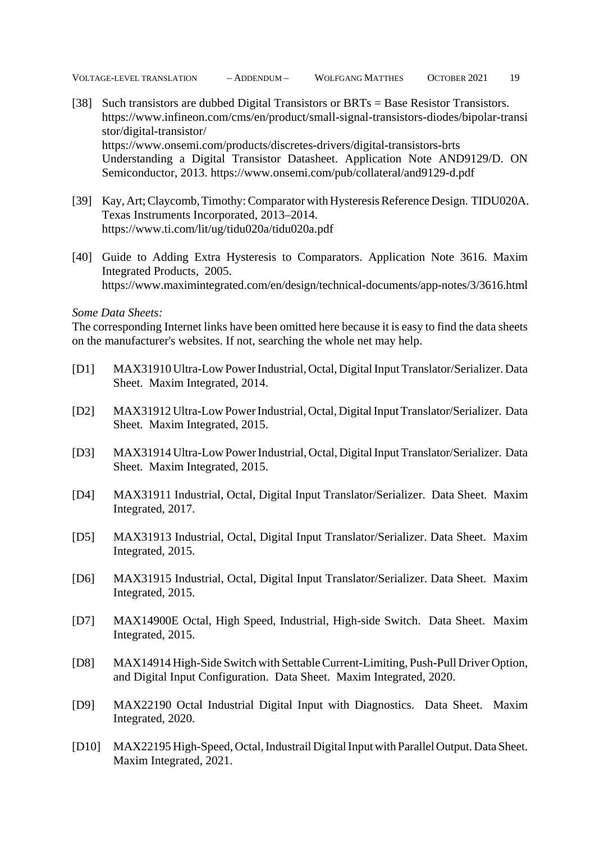- [38] Such transistors are dubbed Digital Transistors or BRTs = Base Resistor Transistors. https://www.infineon.com/cms/en/product/small-signal-transistors-diodes/bipolar-transi stor/digital-transistor/ https://www.onsemi.com/products/discretes-drivers/digital-transistors-brts Understanding a Digital Transistor Datasheet. Application Note AND9129/D. ON Semiconductor, 2013. https://www.onsemi.com/pub/collateral/and9129-d.pdf
- [39] Kay, Art; Claycomb, Timothy: Comparator with Hysteresis Reference Design. TIDU020A. Texas Instruments Incorporated, 2013–2014. https://www.ti.com/lit/ug/tidu020a/tidu020a.pdf
- [40] Guide to Adding Extra Hysteresis to Comparators. Application Note 3616. Maxim Integrated Products, 2005. https://www.maximintegrated.com/en/design/technical-documents/app-notes/3/3616.html

#### *Some Data Sheets:*

The corresponding Internet links have been omitted here because it is easy to find the data sheets on the manufacturer's websites. If not, searching the whole net may help.

- [D1] MAX31910 Ultra-Low Power Industrial, Octal, Digital Input Translator/Serializer. Data Sheet. Maxim Integrated, 2014.
- [D2] MAX31912 Ultra-Low Power Industrial, Octal, Digital Input Translator/Serializer. Data Sheet. Maxim Integrated, 2015.
- [D3] MAX31914 Ultra-Low Power Industrial, Octal, Digital Input Translator/Serializer. Data Sheet. Maxim Integrated, 2015.
- [D4] MAX31911 Industrial, Octal, Digital Input Translator/Serializer. Data Sheet. Maxim Integrated, 2017.
- [D5] MAX31913 Industrial, Octal, Digital Input Translator/Serializer. Data Sheet. Maxim Integrated, 2015.
- [D6] MAX31915 Industrial, Octal, Digital Input Translator/Serializer. Data Sheet. Maxim Integrated, 2015.
- [D7] MAX14900E Octal, High Speed, Industrial, High-side Switch. Data Sheet. Maxim Integrated, 2015.
- [D8] MAX14914 High-Side Switch with Settable Current-Limiting, Push-Pull Driver Option, and Digital Input Configuration. Data Sheet. Maxim Integrated, 2020.
- [D9] MAX22190 Octal Industrial Digital Input with Diagnostics. Data Sheet. Maxim Integrated, 2020.
- [D10] MAX22195 High-Speed, Octal, Industrail Digital Input with Parallel Output. Data Sheet. Maxim Integrated, 2021.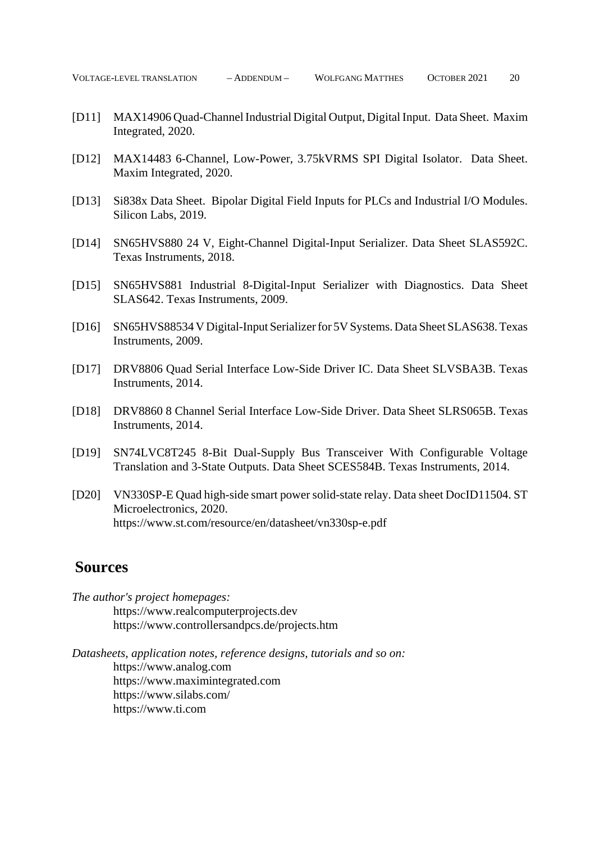- [D11] MAX14906 Quad-Channel Industrial Digital Output, Digital Input. Data Sheet. Maxim Integrated, 2020.
- [D12] MAX14483 6-Channel, Low-Power, 3.75kVRMS SPI Digital Isolator. Data Sheet. Maxim Integrated, 2020.
- [D13] Si838x Data Sheet. Bipolar Digital Field Inputs for PLCs and Industrial I/O Modules. Silicon Labs, 2019.
- [D14] SN65HVS880 24 V, Eight-Channel Digital-Input Serializer. Data Sheet SLAS592C. Texas Instruments, 2018.
- [D15] SN65HVS881 Industrial 8-Digital-Input Serializer with Diagnostics. Data Sheet SLAS642. Texas Instruments, 2009.
- [D16] SN65HVS88534 V Digital-Input Serializer for 5V Systems. Data Sheet SLAS638. Texas Instruments, 2009.
- [D17] DRV8806 Quad Serial Interface Low-Side Driver IC. Data Sheet SLVSBA3B. Texas Instruments, 2014.
- [D18] DRV8860 8 Channel Serial Interface Low-Side Driver. Data Sheet SLRS065B. Texas Instruments, 2014.
- [D19] SN74LVC8T245 8-Bit Dual-Supply Bus Transceiver With Configurable Voltage Translation and 3-State Outputs. Data Sheet SCES584B. Texas Instruments, 2014.
- [D20] VN330SP-E Quad high-side smart power solid-state relay. Data sheet DocID11504. ST Microelectronics, 2020. https://www.st.com/resource/en/datasheet/vn330sp-e.pdf

# **Sources**

*The author's project homepages:*

https://www.realcomputerprojects.dev https://www.controllersandpcs.de/projects.htm

*Datasheets, application notes, reference designs, tutorials and so on:* https://www.analog.com https://www.maximintegrated.com https://www.silabs.com/ https://www.ti.com